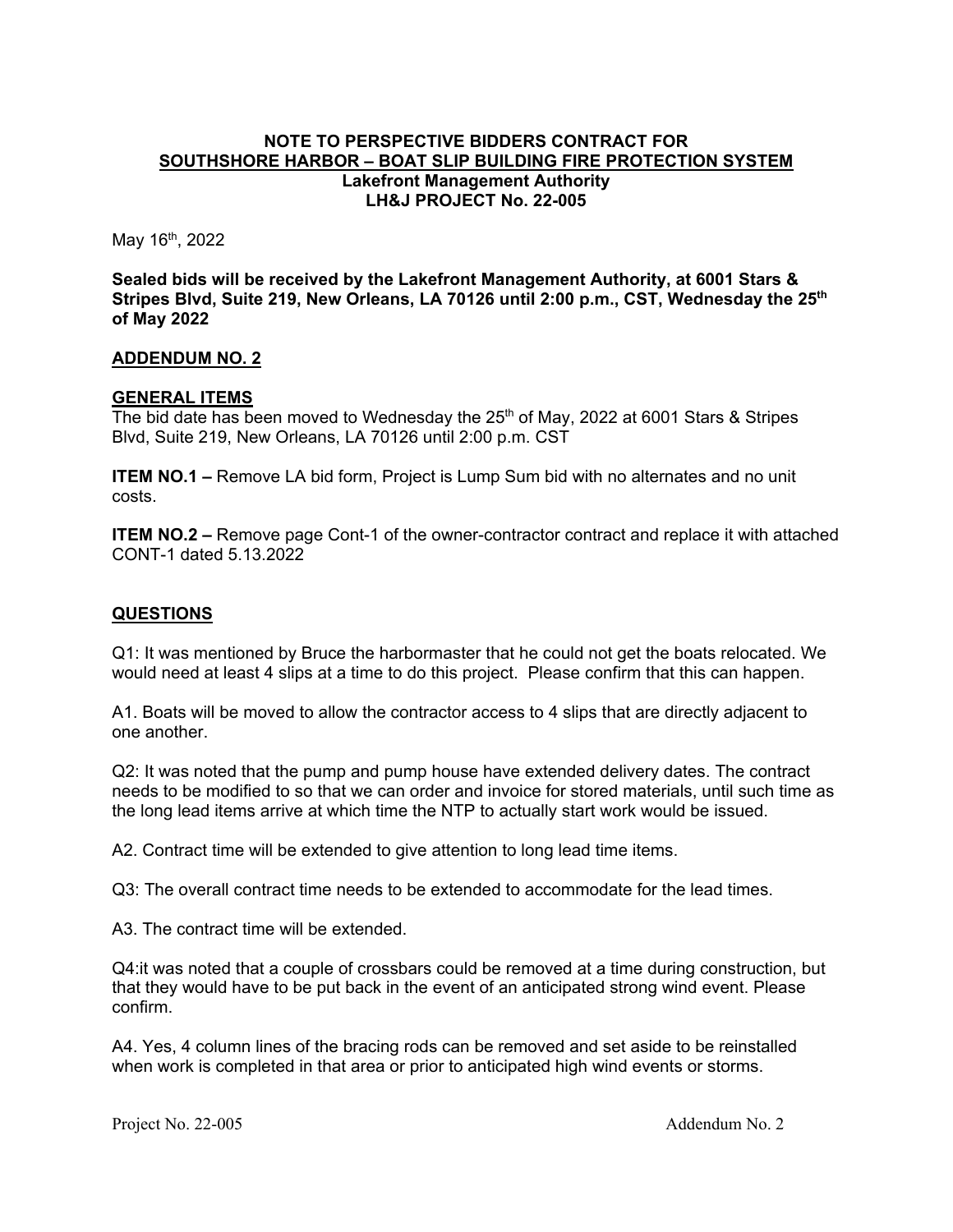### **NOTE TO PERSPECTIVE BIDDERS CONTRACT FOR SOUTHSHORE HARBOR – BOAT SLIP BUILDING FIRE PROTECTION SYSTEM Lakefront Management Authority LH&J PROJECT No. 22-005**

May  $16<sup>th</sup>$ , 2022

**Sealed bids will be received by the Lakefront Management Authority, at 6001 Stars & Stripes Blvd, Suite 219, New Orleans, LA 70126 until 2:00 p.m., CST, Wednesday the 25th of May 2022** 

#### **ADDENDUM NO. 2**

### **GENERAL ITEMS**

The bid date has been moved to Wednesday the  $25<sup>th</sup>$  of May, 2022 at 6001 Stars & Stripes Blvd, Suite 219, New Orleans, LA 70126 until 2:00 p.m. CST

**ITEM NO.1 –** Remove LA bid form, Project is Lump Sum bid with no alternates and no unit costs.

**ITEM NO.2 –** Remove page Cont-1 of the owner-contractor contract and replace it with attached CONT-1 dated 5.13.2022

### **QUESTIONS**

Q1: It was mentioned by Bruce the harbormaster that he could not get the boats relocated. We would need at least 4 slips at a time to do this project. Please confirm that this can happen.

A1. Boats will be moved to allow the contractor access to 4 slips that are directly adjacent to one another.

Q2: It was noted that the pump and pump house have extended delivery dates. The contract needs to be modified to so that we can order and invoice for stored materials, until such time as the long lead items arrive at which time the NTP to actually start work would be issued.

A2. Contract time will be extended to give attention to long lead time items.

Q3: The overall contract time needs to be extended to accommodate for the lead times.

A3. The contract time will be extended.

Q4:it was noted that a couple of crossbars could be removed at a time during construction, but that they would have to be put back in the event of an anticipated strong wind event. Please confirm.

A4. Yes, 4 column lines of the bracing rods can be removed and set aside to be reinstalled when work is completed in that area or prior to anticipated high wind events or storms.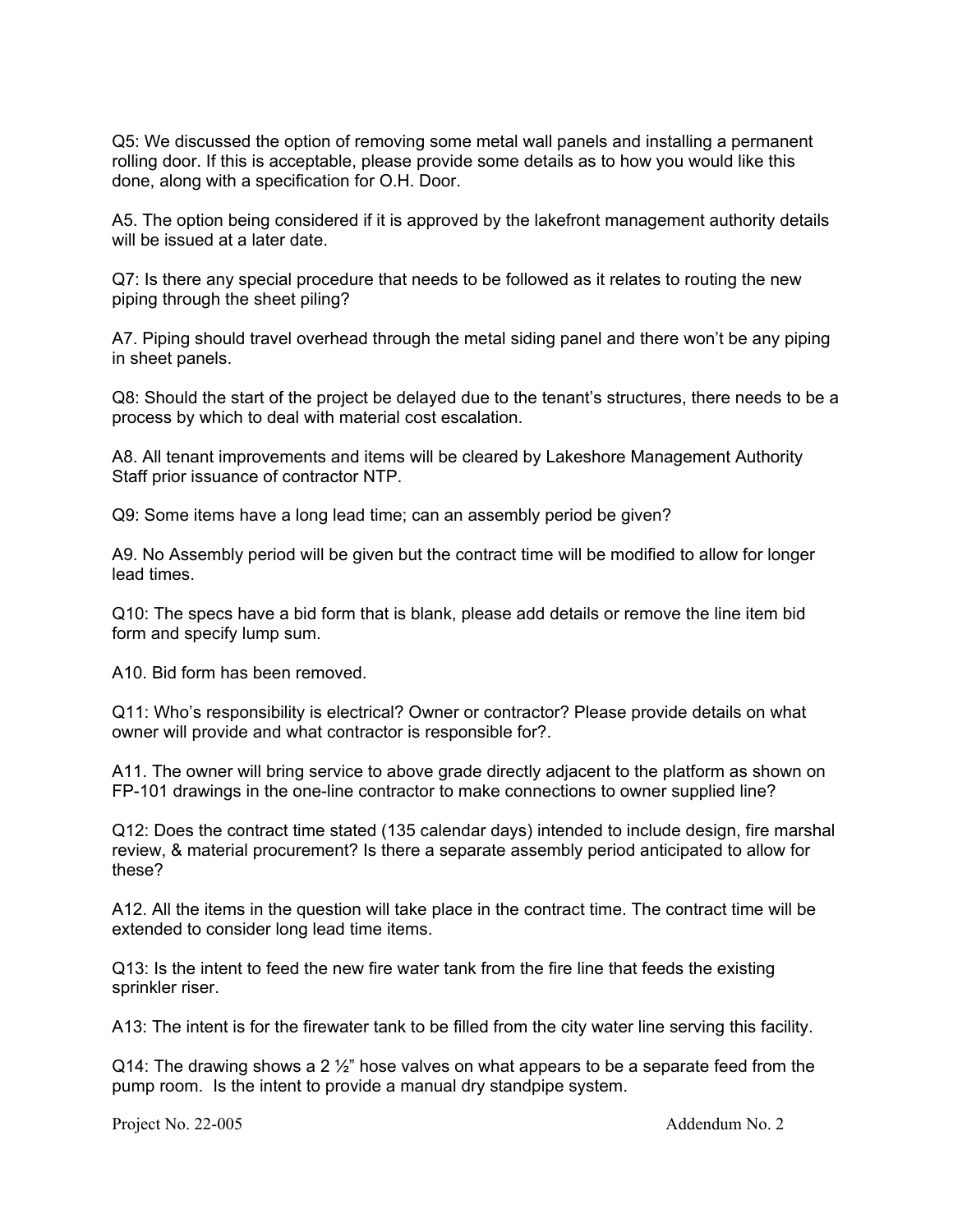Q5: We discussed the option of removing some metal wall panels and installing a permanent rolling door. If this is acceptable, please provide some details as to how you would like this done, along with a specification for O.H. Door.

A5. The option being considered if it is approved by the lakefront management authority details will be issued at a later date.

Q7: Is there any special procedure that needs to be followed as it relates to routing the new piping through the sheet piling?

A7. Piping should travel overhead through the metal siding panel and there won't be any piping in sheet panels.

Q8: Should the start of the project be delayed due to the tenant's structures, there needs to be a process by which to deal with material cost escalation.

A8. All tenant improvements and items will be cleared by Lakeshore Management Authority Staff prior issuance of contractor NTP.

Q9: Some items have a long lead time; can an assembly period be given?

A9. No Assembly period will be given but the contract time will be modified to allow for longer lead times.

Q10: The specs have a bid form that is blank, please add details or remove the line item bid form and specify lump sum.

A10. Bid form has been removed.

Q11: Who's responsibility is electrical? Owner or contractor? Please provide details on what owner will provide and what contractor is responsible for?.

A11. The owner will bring service to above grade directly adjacent to the platform as shown on FP-101 drawings in the one-line contractor to make connections to owner supplied line?

Q12: Does the contract time stated (135 calendar days) intended to include design, fire marshal review, & material procurement? Is there a separate assembly period anticipated to allow for these?

A12. All the items in the question will take place in the contract time. The contract time will be extended to consider long lead time items.

Q13: Is the intent to feed the new fire water tank from the fire line that feeds the existing sprinkler riser.

A13: The intent is for the firewater tank to be filled from the city water line serving this facility.

Q14: The drawing shows a 2  $\frac{1}{2}$ " hose valves on what appears to be a separate feed from the pump room. Is the intent to provide a manual dry standpipe system.

Project No. 22-005 **Addendum No. 2**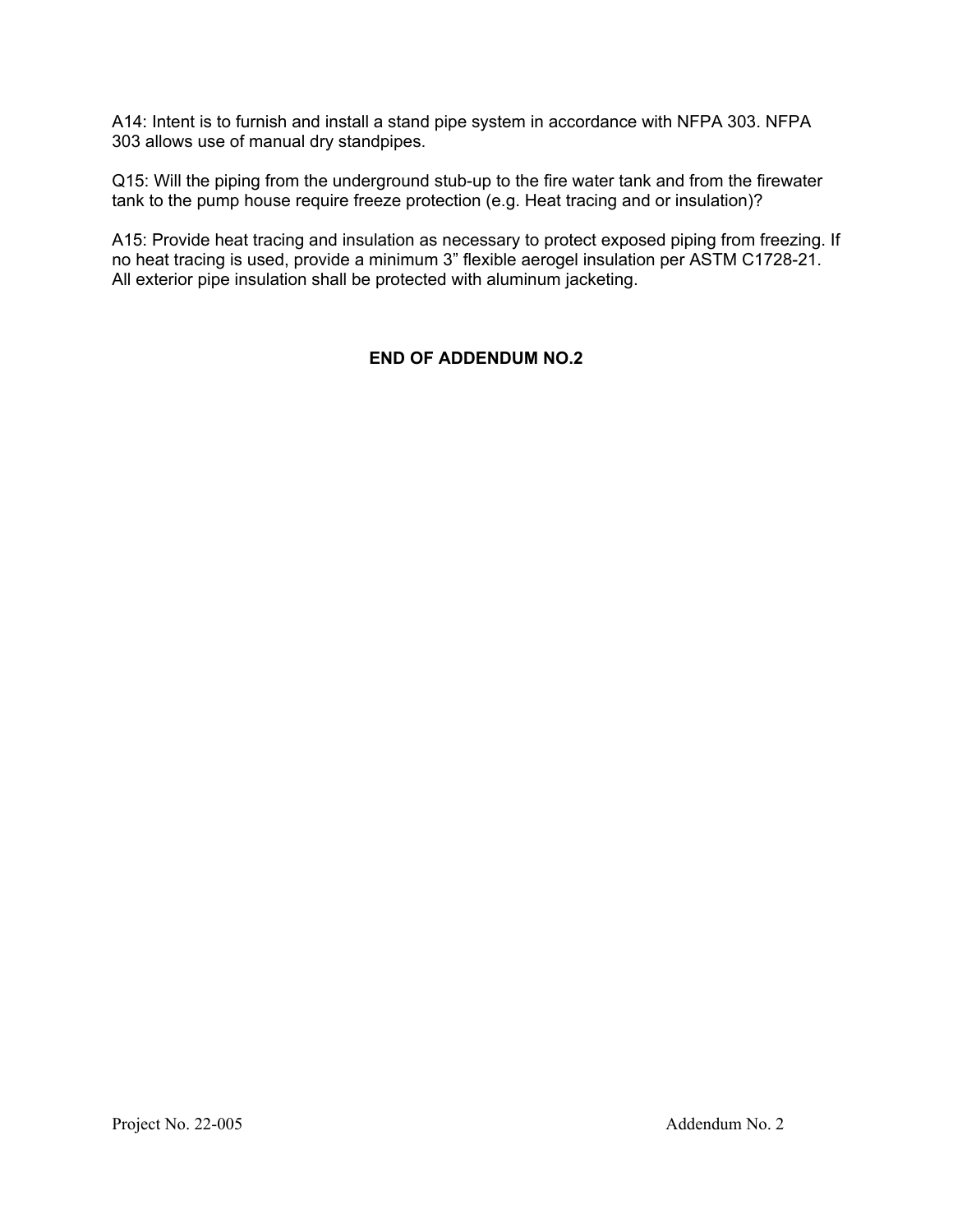A14: Intent is to furnish and install a stand pipe system in accordance with NFPA 303. NFPA 303 allows use of manual dry standpipes.

Q15: Will the piping from the underground stub-up to the fire water tank and from the firewater tank to the pump house require freeze protection (e.g. Heat tracing and or insulation)?

A15: Provide heat tracing and insulation as necessary to protect exposed piping from freezing. If no heat tracing is used, provide a minimum 3" flexible aerogel insulation per ASTM C1728-21. All exterior pipe insulation shall be protected with aluminum jacketing.

## **END OF ADDENDUM NO.2**